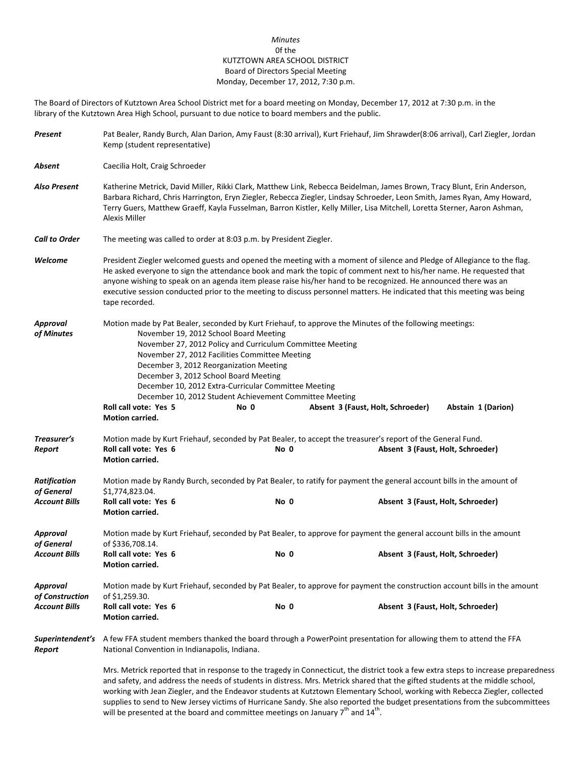## *Minutes* 0f the KUTZTOWN AREA SCHOOL DISTRICT Board of Directors Special Meeting Monday, December 17, 2012, 7:30 p.m.

The Board of Directors of Kutztown Area School District met for a board meeting on Monday, December 17, 2012 at 7:30 p.m. in the library of the Kutztown Area High School, pursuant to due notice to board members and the public.

| Present                            | Pat Bealer, Randy Burch, Alan Darion, Amy Faust (8:30 arrival), Kurt Friehauf, Jim Shrawder(8:06 arrival), Carl Ziegler, Jordan<br>Kemp (student representative)                                                                                                                                                                                                                                                                                                                                                                                                                                                                              |      |                                                                                                                                                  |  |  |  |
|------------------------------------|-----------------------------------------------------------------------------------------------------------------------------------------------------------------------------------------------------------------------------------------------------------------------------------------------------------------------------------------------------------------------------------------------------------------------------------------------------------------------------------------------------------------------------------------------------------------------------------------------------------------------------------------------|------|--------------------------------------------------------------------------------------------------------------------------------------------------|--|--|--|
| Absent                             | Caecilia Holt, Craig Schroeder                                                                                                                                                                                                                                                                                                                                                                                                                                                                                                                                                                                                                |      |                                                                                                                                                  |  |  |  |
| Also Present                       | Katherine Metrick, David Miller, Rikki Clark, Matthew Link, Rebecca Beidelman, James Brown, Tracy Blunt, Erin Anderson,<br>Barbara Richard, Chris Harrington, Eryn Ziegler, Rebecca Ziegler, Lindsay Schroeder, Leon Smith, James Ryan, Amy Howard,<br>Terry Guers, Matthew Graeff, Kayla Fusselman, Barron Kistler, Kelly Miller, Lisa Mitchell, Loretta Sterner, Aaron Ashman,<br>Alexis Miller                                                                                                                                                                                                                                             |      |                                                                                                                                                  |  |  |  |
| <b>Call to Order</b>               | The meeting was called to order at 8:03 p.m. by President Ziegler.                                                                                                                                                                                                                                                                                                                                                                                                                                                                                                                                                                            |      |                                                                                                                                                  |  |  |  |
| Welcome                            | President Ziegler welcomed guests and opened the meeting with a moment of silence and Pledge of Allegiance to the flag.<br>He asked everyone to sign the attendance book and mark the topic of comment next to his/her name. He requested that<br>anyone wishing to speak on an agenda item please raise his/her hand to be recognized. He announced there was an<br>executive session conducted prior to the meeting to discuss personnel matters. He indicated that this meeting was being<br>tape recorded.                                                                                                                                |      |                                                                                                                                                  |  |  |  |
| Approval<br>of Minutes             | Motion made by Pat Bealer, seconded by Kurt Friehauf, to approve the Minutes of the following meetings:<br>November 19, 2012 School Board Meeting<br>November 27, 2012 Policy and Curriculum Committee Meeting<br>November 27, 2012 Facilities Committee Meeting<br>December 3, 2012 Reorganization Meeting<br>December 3, 2012 School Board Meeting<br>December 10, 2012 Extra-Curricular Committee Meeting<br>December 10, 2012 Student Achievement Committee Meeting<br>Roll call vote: Yes 5<br>Absent 3 (Faust, Holt, Schroeder)<br>Abstain 1 (Darion)<br>No 0<br>Motion carried.                                                        |      |                                                                                                                                                  |  |  |  |
| Treasurer's<br>Report              | Roll call vote: Yes 6<br>Motion carried.                                                                                                                                                                                                                                                                                                                                                                                                                                                                                                                                                                                                      | No 0 | Motion made by Kurt Friehauf, seconded by Pat Bealer, to accept the treasurer's report of the General Fund.<br>Absent 3 (Faust, Holt, Schroeder) |  |  |  |
| <b>Ratification</b><br>of General  | \$1,774,823.04.                                                                                                                                                                                                                                                                                                                                                                                                                                                                                                                                                                                                                               |      | Motion made by Randy Burch, seconded by Pat Bealer, to ratify for payment the general account bills in the amount of                             |  |  |  |
| <b>Account Bills</b>               | Roll call vote: Yes 6<br><b>Motion carried.</b>                                                                                                                                                                                                                                                                                                                                                                                                                                                                                                                                                                                               | No 0 | Absent 3 (Faust, Holt, Schroeder)                                                                                                                |  |  |  |
| Approval<br>of General             | Motion made by Kurt Friehauf, seconded by Pat Bealer, to approve for payment the general account bills in the amount<br>of \$336,708.14.                                                                                                                                                                                                                                                                                                                                                                                                                                                                                                      |      |                                                                                                                                                  |  |  |  |
| <b>Account Bills</b>               | Roll call vote: Yes 6<br>Motion carried.                                                                                                                                                                                                                                                                                                                                                                                                                                                                                                                                                                                                      | No 0 | Absent 3 (Faust, Holt, Schroeder)                                                                                                                |  |  |  |
| <b>Approval</b><br>of Construction | Motion made by Kurt Friehauf, seconded by Pat Bealer, to approve for payment the construction account bills in the amount<br>of \$1,259.30.                                                                                                                                                                                                                                                                                                                                                                                                                                                                                                   |      |                                                                                                                                                  |  |  |  |
| <b>Account Bills</b>               | Roll call vote: Yes 6<br><b>Motion carried.</b>                                                                                                                                                                                                                                                                                                                                                                                                                                                                                                                                                                                               | No 0 | Absent 3 (Faust, Holt, Schroeder)                                                                                                                |  |  |  |
| Superintendent's<br>Report         | A few FFA student members thanked the board through a PowerPoint presentation for allowing them to attend the FFA<br>National Convention in Indianapolis, Indiana.                                                                                                                                                                                                                                                                                                                                                                                                                                                                            |      |                                                                                                                                                  |  |  |  |
|                                    | Mrs. Metrick reported that in response to the tragedy in Connecticut, the district took a few extra steps to increase preparedness<br>and safety, and address the needs of students in distress. Mrs. Metrick shared that the gifted students at the middle school,<br>working with Jean Ziegler, and the Endeavor students at Kutztown Elementary School, working with Rebecca Ziegler, collected<br>supplies to send to New Jersey victims of Hurricane Sandy. She also reported the budget presentations from the subcommittees<br>will be presented at the board and committee meetings on January 7 <sup>th</sup> and 14 <sup>th</sup> . |      |                                                                                                                                                  |  |  |  |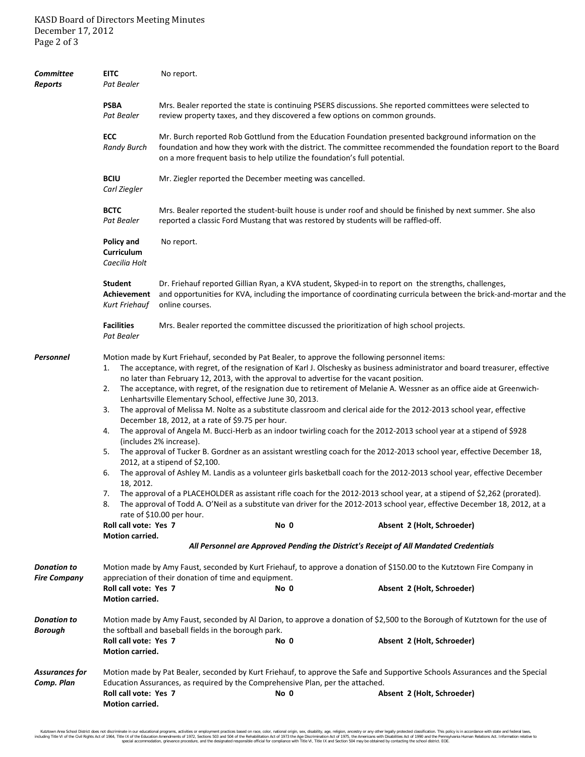| <b>Committee</b><br><b>Reports</b>        | <b>EITC</b><br>Pat Bealer                                                                                                                                                                                                                                                                                                                                                                                                                                                                                                                                                                                                                                                                                                                                                                                                                                                                    | No report.                                                                                                                                                                                                                                                                                         |      |                                                                                                                                                                                                                                                                                                                                                                                                                                                                                                                                                                                                                                                                                                                                                                         |  |  |
|-------------------------------------------|----------------------------------------------------------------------------------------------------------------------------------------------------------------------------------------------------------------------------------------------------------------------------------------------------------------------------------------------------------------------------------------------------------------------------------------------------------------------------------------------------------------------------------------------------------------------------------------------------------------------------------------------------------------------------------------------------------------------------------------------------------------------------------------------------------------------------------------------------------------------------------------------|----------------------------------------------------------------------------------------------------------------------------------------------------------------------------------------------------------------------------------------------------------------------------------------------------|------|-------------------------------------------------------------------------------------------------------------------------------------------------------------------------------------------------------------------------------------------------------------------------------------------------------------------------------------------------------------------------------------------------------------------------------------------------------------------------------------------------------------------------------------------------------------------------------------------------------------------------------------------------------------------------------------------------------------------------------------------------------------------------|--|--|
|                                           | <b>PSBA</b><br>Pat Bealer                                                                                                                                                                                                                                                                                                                                                                                                                                                                                                                                                                                                                                                                                                                                                                                                                                                                    | Mrs. Bealer reported the state is continuing PSERS discussions. She reported committees were selected to<br>review property taxes, and they discovered a few options on common grounds.                                                                                                            |      |                                                                                                                                                                                                                                                                                                                                                                                                                                                                                                                                                                                                                                                                                                                                                                         |  |  |
|                                           | ECC<br><b>Randy Burch</b>                                                                                                                                                                                                                                                                                                                                                                                                                                                                                                                                                                                                                                                                                                                                                                                                                                                                    | Mr. Burch reported Rob Gottlund from the Education Foundation presented background information on the<br>foundation and how they work with the district. The committee recommended the foundation report to the Board<br>on a more frequent basis to help utilize the foundation's full potential. |      |                                                                                                                                                                                                                                                                                                                                                                                                                                                                                                                                                                                                                                                                                                                                                                         |  |  |
|                                           | <b>BCIU</b><br>Carl Ziegler                                                                                                                                                                                                                                                                                                                                                                                                                                                                                                                                                                                                                                                                                                                                                                                                                                                                  | Mr. Ziegler reported the December meeting was cancelled.                                                                                                                                                                                                                                           |      |                                                                                                                                                                                                                                                                                                                                                                                                                                                                                                                                                                                                                                                                                                                                                                         |  |  |
|                                           | <b>BCTC</b><br>Pat Bealer                                                                                                                                                                                                                                                                                                                                                                                                                                                                                                                                                                                                                                                                                                                                                                                                                                                                    | Mrs. Bealer reported the student-built house is under roof and should be finished by next summer. She also<br>reported a classic Ford Mustang that was restored by students will be raffled-off.                                                                                                   |      |                                                                                                                                                                                                                                                                                                                                                                                                                                                                                                                                                                                                                                                                                                                                                                         |  |  |
|                                           | Policy and<br>Curriculum<br>Caecilia Holt                                                                                                                                                                                                                                                                                                                                                                                                                                                                                                                                                                                                                                                                                                                                                                                                                                                    | No report.                                                                                                                                                                                                                                                                                         |      |                                                                                                                                                                                                                                                                                                                                                                                                                                                                                                                                                                                                                                                                                                                                                                         |  |  |
|                                           | <b>Student</b><br>Dr. Friehauf reported Gillian Ryan, a KVA student, Skyped-in to report on the strengths, challenges,<br>and opportunities for KVA, including the importance of coordinating curricula between the brick-and-mortar and the<br>Achievement<br>Kurt Friehauf<br>online courses.                                                                                                                                                                                                                                                                                                                                                                                                                                                                                                                                                                                              |                                                                                                                                                                                                                                                                                                    |      |                                                                                                                                                                                                                                                                                                                                                                                                                                                                                                                                                                                                                                                                                                                                                                         |  |  |
|                                           | <b>Facilities</b><br>Pat Bealer                                                                                                                                                                                                                                                                                                                                                                                                                                                                                                                                                                                                                                                                                                                                                                                                                                                              | Mrs. Bealer reported the committee discussed the prioritization of high school projects.                                                                                                                                                                                                           |      |                                                                                                                                                                                                                                                                                                                                                                                                                                                                                                                                                                                                                                                                                                                                                                         |  |  |
| Personnel                                 | Motion made by Kurt Friehauf, seconded by Pat Bealer, to approve the following personnel items:<br>1.<br>no later than February 12, 2013, with the approval to advertise for the vacant position.<br>2.<br>Lenhartsville Elementary School, effective June 30, 2013.<br>The approval of Melissa M. Nolte as a substitute classroom and clerical aide for the 2012-2013 school year, effective<br>3.<br>December 18, 2012, at a rate of \$9.75 per hour.<br>The approval of Angela M. Bucci-Herb as an indoor twirling coach for the 2012-2013 school year at a stipend of \$928<br>4.<br>(includes 2% increase).<br>5.<br>2012, at a stipend of \$2,100.<br>6.<br>18, 2012.<br>7. The approval of a PLACEHOLDER as assistant rifle coach for the 2012-2013 school year, at a stipend of \$2,262 (prorated).<br>rate of \$10.00 per hour.<br>Roll call vote: Yes 7<br>No 0<br>Motion carried. |                                                                                                                                                                                                                                                                                                    |      | The acceptance, with regret, of the resignation of Karl J. Olschesky as business administrator and board treasurer, effective<br>The acceptance, with regret, of the resignation due to retirement of Melanie A. Wessner as an office aide at Greenwich-<br>The approval of Tucker B. Gordner as an assistant wrestling coach for the 2012-2013 school year, effective December 18,<br>The approval of Ashley M. Landis as a volunteer girls basketball coach for the 2012-2013 school year, effective December<br>8. The approval of Todd A. O'Neil as a substitute van driver for the 2012-2013 school year, effective December 18, 2012, at a<br>Absent 2 (Holt, Schroeder)<br>All Personnel are Approved Pending the District's Receipt of All Mandated Credentials |  |  |
| <b>Donation to</b><br><b>Fire Company</b> | Roll call vote: Yes 7                                                                                                                                                                                                                                                                                                                                                                                                                                                                                                                                                                                                                                                                                                                                                                                                                                                                        | appreciation of their donation of time and equipment.                                                                                                                                                                                                                                              | No 0 | Motion made by Amy Faust, seconded by Kurt Friehauf, to approve a donation of \$150.00 to the Kutztown Fire Company in<br>Absent 2 (Holt, Schroeder)                                                                                                                                                                                                                                                                                                                                                                                                                                                                                                                                                                                                                    |  |  |
| <b>Donation to</b>                        | Motion carried.<br>Motion made by Amy Faust, seconded by Al Darion, to approve a donation of \$2,500 to the Borough of Kutztown for the use of                                                                                                                                                                                                                                                                                                                                                                                                                                                                                                                                                                                                                                                                                                                                               |                                                                                                                                                                                                                                                                                                    |      |                                                                                                                                                                                                                                                                                                                                                                                                                                                                                                                                                                                                                                                                                                                                                                         |  |  |
| Borough                                   | Roll call vote: Yes 7<br>Motion carried.                                                                                                                                                                                                                                                                                                                                                                                                                                                                                                                                                                                                                                                                                                                                                                                                                                                     | the softball and baseball fields in the borough park.                                                                                                                                                                                                                                              | No 0 | Absent 2 (Holt, Schroeder)                                                                                                                                                                                                                                                                                                                                                                                                                                                                                                                                                                                                                                                                                                                                              |  |  |
| <b>Assurances for</b><br>Comp. Plan       | Roll call vote: Yes 7<br>Motion carried.                                                                                                                                                                                                                                                                                                                                                                                                                                                                                                                                                                                                                                                                                                                                                                                                                                                     | Education Assurances, as required by the Comprehensive Plan, per the attached.                                                                                                                                                                                                                     | No 0 | Motion made by Pat Bealer, seconded by Kurt Friehauf, to approve the Safe and Supportive Schools Assurances and the Special<br>Absent 2 (Holt, Schroeder)                                                                                                                                                                                                                                                                                                                                                                                                                                                                                                                                                                                                               |  |  |

Kutztown Area School District does not discriminate in our educational programs, activities or employment practices based on race, color, national orgion, ance alther, and the relate and federal faws, enduring Title IV on